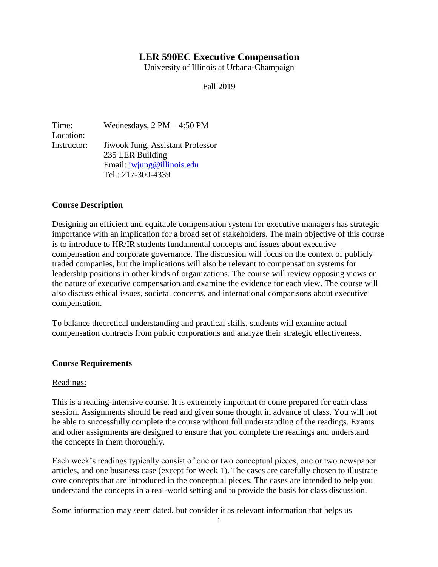# **LER 590EC Executive Compensation**

University of Illinois at Urbana-Champaign

Fall 2019

Time: Wednesdays, 2 PM – 4:50 PM Location: Instructor: Jiwook Jung, Assistant Professor 235 LER Building Email: [jwjung@illinois.edu](mailto:jwjung@illinois.edu) Tel.: 217-300-4339

## **Course Description**

Designing an efficient and equitable compensation system for executive managers has strategic importance with an implication for a broad set of stakeholders. The main objective of this course is to introduce to HR/IR students fundamental concepts and issues about executive compensation and corporate governance. The discussion will focus on the context of publicly traded companies, but the implications will also be relevant to compensation systems for leadership positions in other kinds of organizations. The course will review opposing views on the nature of executive compensation and examine the evidence for each view. The course will also discuss ethical issues, societal concerns, and international comparisons about executive compensation.

To balance theoretical understanding and practical skills, students will examine actual compensation contracts from public corporations and analyze their strategic effectiveness.

#### **Course Requirements**

#### Readings:

This is a reading-intensive course. It is extremely important to come prepared for each class session. Assignments should be read and given some thought in advance of class. You will not be able to successfully complete the course without full understanding of the readings. Exams and other assignments are designed to ensure that you complete the readings and understand the concepts in them thoroughly.

Each week's readings typically consist of one or two conceptual pieces, one or two newspaper articles, and one business case (except for Week 1). The cases are carefully chosen to illustrate core concepts that are introduced in the conceptual pieces. The cases are intended to help you understand the concepts in a real-world setting and to provide the basis for class discussion.

Some information may seem dated, but consider it as relevant information that helps us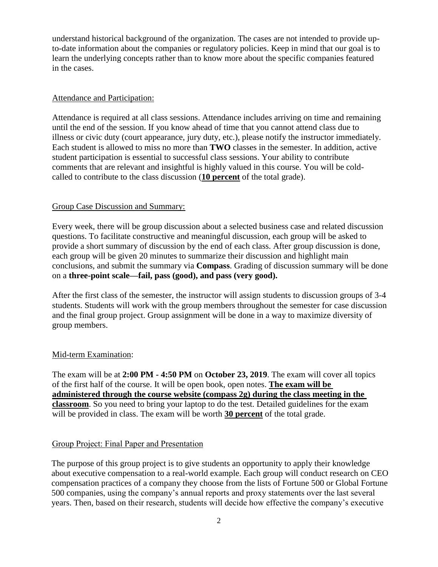understand historical background of the organization. The cases are not intended to provide upto-date information about the companies or regulatory policies. Keep in mind that our goal is to learn the underlying concepts rather than to know more about the specific companies featured in the cases.

#### Attendance and Participation:

Attendance is required at all class sessions. Attendance includes arriving on time and remaining until the end of the session. If you know ahead of time that you cannot attend class due to illness or civic duty (court appearance, jury duty, etc.), please notify the instructor immediately. Each student is allowed to miss no more than **TWO** classes in the semester. In addition, active student participation is essential to successful class sessions. Your ability to contribute comments that are relevant and insightful is highly valued in this course. You will be coldcalled to contribute to the class discussion (**10 percent** of the total grade).

#### Group Case Discussion and Summary:

Every week, there will be group discussion about a selected business case and related discussion questions. To facilitate constructive and meaningful discussion, each group will be asked to provide a short summary of discussion by the end of each class. After group discussion is done, each group will be given 20 minutes to summarize their discussion and highlight main conclusions, and submit the summary via **Compass**. Grading of discussion summary will be done on a **three-point scale—fail, pass (good), and pass (very good).** 

After the first class of the semester, the instructor will assign students to discussion groups of 3-4 students. Students will work with the group members throughout the semester for case discussion and the final group project. Group assignment will be done in a way to maximize diversity of group members.

## Mid-term Examination:

The exam will be at **2:00 PM - 4:50 PM** on **October 23, 2019**. The exam will cover all topics of the first half of the course. It will be open book, open notes. **The exam will be administered through the course website (compass 2g) during the class meeting in the classroom**. So you need to bring your laptop to do the test. Detailed guidelines for the exam will be provided in class. The exam will be worth **30 percent** of the total grade.

## Group Project: Final Paper and Presentation

The purpose of this group project is to give students an opportunity to apply their knowledge about executive compensation to a real-world example. Each group will conduct research on CEO compensation practices of a company they choose from the lists of Fortune 500 or Global Fortune 500 companies, using the company's annual reports and proxy statements over the last several years. Then, based on their research, students will decide how effective the company's executive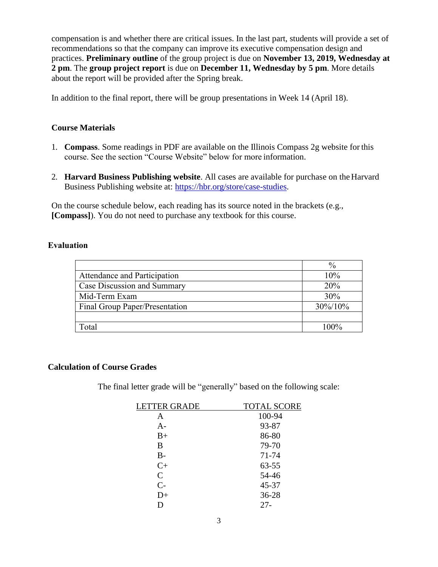compensation is and whether there are critical issues. In the last part, students will provide a set of recommendations so that the company can improve its executive compensation design and practices. **Preliminary outline** of the group project is due on **November 13, 2019, Wednesday at 2 pm**. The **group project report** is due on **December 11, Wednesday by 5 pm**. More details about the report will be provided after the Spring break.

In addition to the final report, there will be group presentations in Week 14 (April 18).

## **Course Materials**

- 1. **Compass**. Some readings in PDF are available on the Illinois Compass 2g website for this course. See the section "Course Website" below for more information.
- 2. **Harvard Business Publishing website**. All cases are available for purchase on the Harvard Business Publishing website at: [https://hbr.org/store/case-studies.](https://hbr.org/store/case-studies)

On the course schedule below, each reading has its source noted in the brackets (e.g., **[Compass]**). You do not need to purchase any textbook for this course.

### **Evaluation**

|                                | $\%$    |
|--------------------------------|---------|
| Attendance and Participation   | 10%     |
| Case Discussion and Summary    | 20%     |
| Mid-Term Exam                  | 30%     |
| Final Group Paper/Presentation | 30%/10% |
|                                |         |
| Total                          | $100\%$ |

#### **Calculation of Course Grades**

The final letter grade will be "generally" based on the following scale:

| <b>LETTER GRADE</b> | <b>TOTAL SCORE</b> |
|---------------------|--------------------|
| Α                   | 100-94             |
| A-                  | 93-87              |
| $B+$                | 86-80              |
| B                   | 79-70              |
| $B-$                | 71-74              |
| $C+$                | 63-55              |
| $\mathsf{C}$        | 54-46              |
| $C-$                | 45-37              |
| D+                  | 36-28              |
|                     | $27 -$             |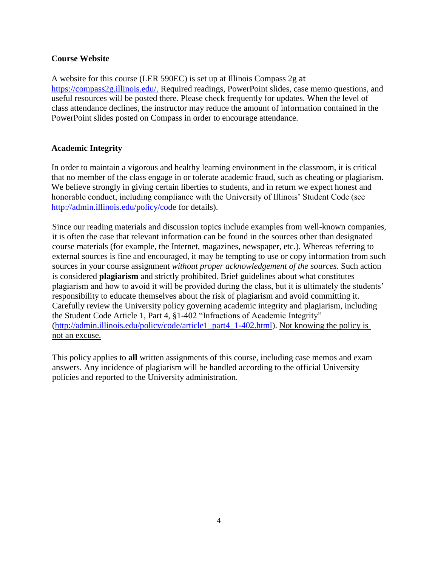## **Course Website**

A website for this course (LER 590EC) is set up at Illinois Compass 2g at [https://compass2g.illinois.edu/.](https://compass2g.illinois.edu/) Required readings, PowerPoint slides, case memo questions, and useful resources will be posted there. Please check frequently for updates. When the level of class attendance declines, the instructor may reduce the amount of information contained in the PowerPoint slides posted on Compass in order to encourage attendance.

## **Academic Integrity**

In order to maintain a vigorous and healthy learning environment in the classroom, it is critical that no member of the class engage in or tolerate academic fraud, such as cheating or plagiarism. We believe strongly in giving certain liberties to students, and in return we expect honest and honorable conduct, including compliance with the University of Illinois' Student Code (see [http://admin.illinois.edu/policy/code f](http://admin.illinois.edu/policy/code)or details).

Since our reading materials and discussion topics include examples from well-known companies, it is often the case that relevant information can be found in the sources other than designated course materials (for example, the Internet, magazines, newspaper, etc.). Whereas referring to external sources is fine and encouraged, it may be tempting to use or copy information from such sources in your course assignment *without proper acknowledgement of the sources*. Such action is considered **plagiarism** and strictly prohibited. Brief guidelines about what constitutes plagiarism and how to avoid it will be provided during the class, but it is ultimately the students' responsibility to educate themselves about the risk of plagiarism and avoid committing it. Carefully review the University policy governing academic integrity and plagiarism, including the Student Code Article 1, Part 4, §1-402 "Infractions of Academic Integrity" [\(http://admin.illinois.edu/policy/code/article1\\_part4\\_1-402.html\)](http://admin.illinois.edu/policy/code/article1_part4_1-402.html). Not knowing the policy is not an excuse.

This policy applies to **all** written assignments of this course, including case memos and exam answers. Any incidence of plagiarism will be handled according to the official University policies and reported to the University administration.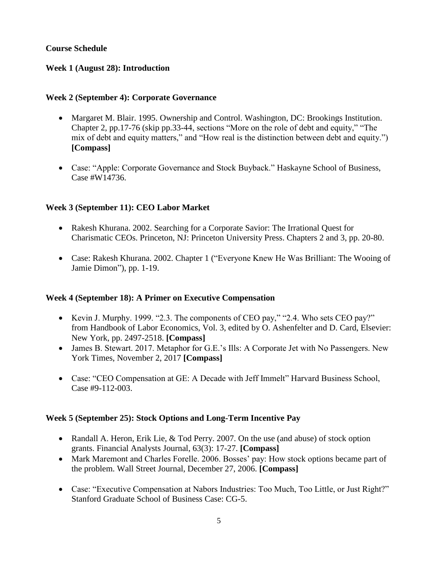# **Course Schedule**

## **Week 1 (August 28): Introduction**

## **Week 2 (September 4): Corporate Governance**

- Margaret M. Blair. 1995. Ownership and Control. Washington, DC: Brookings Institution. Chapter 2, pp.17-76 (skip pp.33-44, sections "More on the role of debt and equity," "The mix of debt and equity matters," and "How real is the distinction between debt and equity.") **[Compass]**
- Case: "Apple: Corporate Governance and Stock Buyback." Haskayne School of Business, Case #W14736.

## **Week 3 (September 11): CEO Labor Market**

- Rakesh Khurana. 2002. Searching for a Corporate Savior: The Irrational Quest for Charismatic CEOs. Princeton, NJ: Princeton University Press. Chapters 2 and 3, pp. 20-80.
- Case: Rakesh Khurana. 2002. Chapter 1 ("Everyone Knew He Was Brilliant: The Wooing of Jamie Dimon"), pp. 1-19.

## **Week 4 (September 18): A Primer on Executive Compensation**

- Kevin J. Murphy. 1999. "2.3. The components of CEO pay," "2.4. Who sets CEO pay?" from Handbook of Labor Economics, Vol. 3, edited by O. Ashenfelter and D. Card, Elsevier: New York, pp. 2497-2518. **[Compass]**
- James B. Stewart. 2017. Metaphor for G.E.'s Ills: A Corporate Jet with No Passengers. New York Times, November 2, 2017 **[Compass]**
- Case: "CEO Compensation at GE: A Decade with Jeff Immelt" Harvard Business School, Case #9-112-003.

## **Week 5 (September 25): Stock Options and Long-Term Incentive Pay**

- Randall A. Heron, Erik Lie,  $&$  Tod Perry. 2007. On the use (and abuse) of stock option grants. Financial Analysts Journal, 63(3): 17-27. **[Compass]**
- Mark Maremont and Charles Forelle. 2006. Bosses' pay: How stock options became part of the problem. Wall Street Journal, December 27, 2006. **[Compass]**
- Case: "Executive Compensation at Nabors Industries: Too Much, Too Little, or Just Right?" Stanford Graduate School of Business Case: CG-5.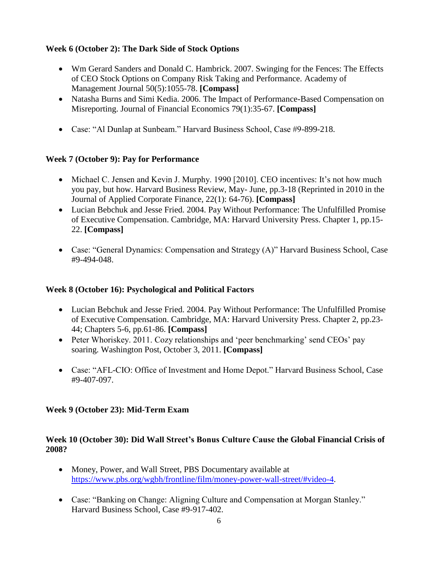# **Week 6 (October 2): The Dark Side of Stock Options**

- Wm Gerard Sanders and Donald C. Hambrick. 2007. Swinging for the Fences: The Effects of CEO Stock Options on Company Risk Taking and Performance. Academy of Management Journal 50(5):1055-78. **[Compass]**
- Natasha Burns and Simi Kedia. 2006. The Impact of Performance-Based Compensation on Misreporting. Journal of Financial Economics 79(1):35-67. **[Compass]**
- Case: "Al Dunlap at Sunbeam." Harvard Business School, Case #9-899-218.

# **Week 7 (October 9): Pay for Performance**

- Michael C. Jensen and Kevin J. Murphy. 1990 [2010]. CEO incentives: It's not how much you pay, but how. Harvard Business Review, May- June, pp.3-18 (Reprinted in 2010 in the Journal of Applied Corporate Finance, 22(1): 64-76). **[Compass]**
- Lucian Bebchuk and Jesse Fried. 2004. Pay Without Performance: The Unfulfilled Promise of Executive Compensation. Cambridge, MA: Harvard University Press. Chapter 1, pp.15- 22. **[Compass]**
- Case: "General Dynamics: Compensation and Strategy (A)" Harvard Business School, Case #9-494-048.

# **Week 8 (October 16): Psychological and Political Factors**

- Lucian Bebchuk and Jesse Fried. 2004. Pay Without Performance: The Unfulfilled Promise of Executive Compensation. Cambridge, MA: Harvard University Press. Chapter 2, pp.23- 44; Chapters 5-6, pp.61-86. **[Compass]**
- Peter Whoriskey. 2011. Cozy relationships and 'peer benchmarking' send CEOs' pay soaring. Washington Post, October 3, 2011. **[Compass]**
- Case: "AFL-CIO: Office of Investment and Home Depot." Harvard Business School, Case #9-407-097.

# **Week 9 (October 23): Mid-Term Exam**

# **Week 10 (October 30): Did Wall Street's Bonus Culture Cause the Global Financial Crisis of 2008?**

- Money, Power, and Wall Street, PBS Documentary available at [https://www.pbs.org/wgbh/frontline/film/money-power-wall-street/#video-4.](https://www.pbs.org/wgbh/frontline/film/money-power-wall-street/#video-4)
- Case: "Banking on Change: Aligning Culture and Compensation at Morgan Stanley." Harvard Business School, Case #9-917-402.